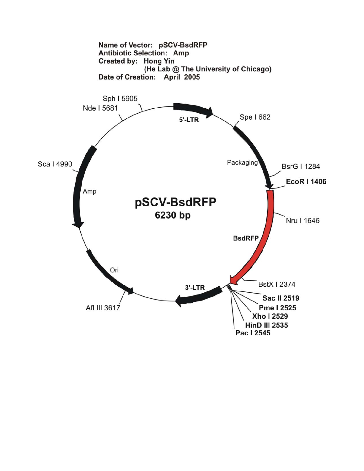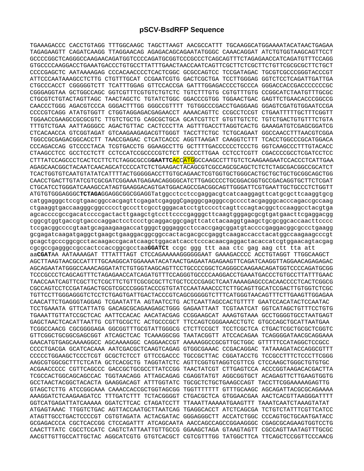TGAAAGACCC CACCTGTAGG TTTGGCAAGC TAGCTTAAGT AACGCCATTT TGCAAGGCATGGAAAATACATAACTGAGAA TAGAGAAGTT CAGATCAAGG TTAGGAACAG AGAGACAGCAGAATATGGGC CAAACAGGAT ATCTGTGGTAAGCAGTTCCT GCCCCGGCTCAGGGCCAAGAACAGATGGTCCCCAGATGCGGTCCCGCCCTCAGCAGTTTCTAGAGAACCATCAGATGTTTCCAGG GTGCCCCAAGGACCTGAAATGACCCTGTGCCTTATTTGAACTAACCAATCAGTTCGCTTCTCGCTTCTGTTCGCGCGCTTCTGCT CCCCGAGCTC AATAAAAGAG CCCACAACCCCTCACTCGGC GCGCCAGTCC TCCGATAGAC TGCGTCGCCCGGGTACCCGT ATTCCCAATAAAGCCTCTTG CTGTTTGCAT CCGAATCGTG GACTCGCTGA TCCTTGGGAG GGTCTCCTCAGATTGATTGA CTGCCCACCT CGGGGGTCTT TCATTTGGAG GTTCCACCGA GATTTGGAGACCCCTGCCCA GGGACCACCGACCCCCCCGC CGGGAGGTAA GCTGGCCAGC GGTCGTTTCGTGTCTGTCTC TGTCTTTGTG CGTGTTTGTG CCGGCATCTAATGTTTGCGC CTGCGTCTGTACTAGTTAGC TAACTAGCTC TGTATCTGGC GGACCCGTGG TGGAACTGAC GAGTTCTGAACACCCGGCCG CAACCCTGGG AGACGTCCCA GGGACTTTGG GGGCCGTTTT TGTGGCCCGACCTGAGGAAG GGAGTCGATGTGGAATCCGA CCCCGTCAGG ATATGTGGTT CTGGTAGGAGACGAGAACCT AAAACAGTTC CCGCCTCCGT CTGAATTTTTGCTTTCGGTT TGGAACCGAAGCCGCGCGTC TTGTCTGCTG CAGCGCTGCA GCATCGTTCT GTGTTGTCTC TGTCTGACTGTGTTTCTGTA TTTGTCTGAA AATTAGGGCC AGACTGTTAC CACTCCCTTA AGTTTGACCTTAGGTCACTG GAAAGATGTCGAGCGGATCG CTCACAACCA GTCGGTAGAT GTCAAGAAGAGACGTTGGGT TACCTTCTGC TCTGCAGAAT GGCCAACCTTTAACGTCGGA TGGCCGCGAGACGGCACCTT TAACCGAGAC CTCATCACCC AGGTTAAGAT CAAGGTCTTT TCACCTGGCCCGCATGGACA CCCAGACCAG GTCCCCTACA TCGTGACCTG GGAAGCCTTG GCTTTTGACCCCCCTCCCTG GGTCAAGCCCTTTGTACACC CTAAGCCTCC GCCTCCTCTT CCTCCATCCGCCCCGTCTCT CCCCCTTGAA CCTCCTCGTT CGACCCCGCCTCGATCCTCC CTTTATCCAGCCCTCACTCCTTCTCTAGGCGCCG**GAATTC**ACCATGGCCAAGCCTTTGTCTCAAGAAGAATCCACCCTCATTGAA AGAGCAACGGCTACAATCAACAGCATCCCCATCTCTGAAGACTACAGCGTCGCCAGCGCAGCTCTCTCTAGCGACGGCCGCATCT TCACTGGTGTCAATGTATATCATTTTACTGGGGGACCTTGTGCAGAACTCGTGGTGCTGGGCACTGCTGCTGCTGCGGCAGCTGG CAACCTGACTTGTATCGTCGCGATCGGAAATGAGAACAGGGGCATCTTGAGCCCCTGCGGACGGTGCCGACAGGTGCTTCTCGAT CTGCATCCTGGGATCAAAGCCATAGTGAAGGACAGTGATGGACAGCCGACGGCAGTTGGGATTCGTGAATTGCTGCCCTCTGGTT ATGTGTGGGAGGGC**TCTAGA**GGAGGCGGCGGAGGTatggcctcctccgaggacgtcatcaaggagttcatgcgcttcaaggtgcg catggagggctccgtgaacggccacgagttcgagatcgagggCgagggcgagggccgcccctacgagggcacccagaccgccaag ctgaaggtgaccaagggcggccccctgcccttcgcctgggacatcctgtcccctcagttccagtacggctccaaggcctacgtga agcaccccgccgacatccccgactacttgaagctgtccttccccgagggcttcaagtgggagcgcgtgatgaacttcgaggacgg cggcgtggtgaccgtgacccaggactcctccctgcaggacggcgagttcatctacaaggtgaagctgcgcggcaccaacttcccc tccgacggccccgtaatgcagaagaagaccatgggctgggaggcctccaccgagcggatgtaccccgaggacggcgccctgaagg gcgagatcaagatgaggctgaagctgaaggacggcggccactacgacgccgaggtcaagaccacctacatggccaagaagcccgt gcagctgcccggcgcctacaagaccgacatcaagctggacatcacctcccacaacgaggactacaccatcgtggaacagtacgag cgcgccgagggccgccactccaccggcgcctaa**GGATCt** ccgc ggg ttt aaa ctc gag aag ctt tta att aa**CGAT**AA AATAAAAGAT TTTATTTAGT CTCCAGAAAAAGGGGGGAAT GAAAGACCCC ACCTGTAGGT TTGGCAAGCT AGCTTAAGTAACGCCATTTTGCAAGGCATGGAAAATACATAACTGAGAATAGAGAAGTTCAGATCAAGGTTAGGAACAGAGAGAC AGCAGAATATGGGCCAAACAGGATATCTGTGGTAAGCAGTTCCTGCCCCGGCTCAGGGCCAAGAACAGATGGTCCCCAGATGCGG TCCCGCCCTCAGCAGTTTCTAGAGAACCATCAGATGTTTCCAGGGTGCCCCAAGGACCTGAAATGACCCTGTGCCTTATTTGAAC TAACCAATCAGTTCGCTTCTCGCTTCTGTTCGCGCGCTTCTGCTCCCCGAGCTCAATAAAAGAGCCCACAACCCCTCACTCGGCG CGCCAGTCCTCCGATAGACTGCGTCGCCCGGGTACCCGTGTATCCAATAAACCCTCTTGCAGTTGCATCCGACTTGTGGTCTCGC TGTTCCTTGGGAGGGTCTCCTCTGAGTGATTGACTACCCGTCAGCGGGGGTCTTTCATGGGTAACAGTTTCTTGAAGTTGGAGAA CAACATTCTGAGGGTAGGAG TCGAATATTA AGTAATCCTG ACTCAATTAGCCACTGTTTT GAATCCACATACTCCAATAC TCCTGAAATA GTTCATTATG GACAGCGCAGAAGAGCTGGG GAGAATTAAT TCGTAATCAT GGTCATAGCTGTTTCCTGTG TGAAATTGTTATCCGCTCAC AATTCCACAC AACATACGAG CCGGAAGCAT AAAGTGTAAA GCCTGGGGTGCCTAATGAGT GAGCTAACTCACATTAATTG CGTTGCGCTC ACTGCCCGCT TTCCAGTCGGGAAACCTGTC GTGCCAGCTGCATTAATGAA TCGGCCAACG CGCGGGGAGA GGCGGTTTGCGTATTGGGCG CTCTTCCGCT TCCTCGCTCA CTGACTCGCTGCGCTCGGTC GTTCGGCTGCGGCGAGCGGT ATCAGCTCAC TCAAAGGCGG TAATACGGTT ATCCACAGAA TCAGGGGATAACGCAGGAAA GAACATGTGAGCAAAAGGCC AGCAAAAGGC CAGGAACCGT AAAAAGGCCGCGTTGCTGGC GTTTTTCCATAGGCTCCGCC CCCCTGACGA GCATCACAAA AATCGACGCTCAAGTCAGAG GTGGCGAAAC CCGACAGGAC TATAAAGATACCAGGCGTTT CCCCCTGGAAGCTCCCTCGT GCGCTCTCCT GTTCCGACCC TGCCGCTTAC CGGATACCTG TCCGCCTTTCTCCCTTCGGG AAGCGTGGCGCTTTCTCATA GCTCACGCTG TAGGTATCTC AGTTCGGTGTAGGTCGTTCG CTCCAAGCTGGGCTGTGTGC ACGAACCCCC CGTTCAGCCC GACCGCTGCGCCTTATCCGG TAACTATCGT CTTGAGTCCA ACCCGGTAAGACACGACTTA TCGCCACTGGCAGCAGCCAC TGGTAACAGG ATTAGCAGAG CGAGGTATGT AGGCGGTGCT ACAGAGTTCTTGAAGTGGTG GCCTAACTACGGCTACACTA GAAGGACAGT ATTTGGTATC TGCGCTCTGCTGAAGCCAGT TACCTTCGGAAAAAGAGTTG GTAGCTCTTG ATCCGGCAAA CAAACCACCGCTGGTAGCGG TGGTTTTTTT GTTTGCAAGC AGCAGATTACGCGCAGAAAA AAAGGATCTCAAGAAGATCC TTTGATCTTT TCTACGGGGT CTGACGCTCA GTGGAACGAA AACTCACGTTAAGGGATTTT GGTCATGAGATTATCAAAAA GGATCTTCAC CTAGATCCTT TTAAATTAAAAATGAAGTTT TAAATCAATCTAAAGTATAT ATGAGTAAAC TTGGTCTGAC AGTTACCAATGCTTAATCAG TGAGGCACCT ATCTCAGCGA TCTGTCTATTTCGTTCATCC ATAGTTGCCTGACTCCCCGT CGTGTAGATA ACTACGATAC GGGAGGGCTT ACCATCTGGC CCCAGTGCTGCAATGATACC GCGAGACCCA CGCTCACCGG CTCCAGATTT ATCAGCAATA AACCAGCCAGCCGGAAGGGC CGAGCGCAGAAGTGGTCCTG CAACTTTATC CGCCTCCATC CAGTCTATTAATTGTTGCCG GGAAGCTAGA GTAAGTAGTT CGCCAGTTAATAGTTTGCGC AACGTTGTTGCCATTGCTAC AGGCATCGTG GTGTCACGCT CGTCGTTTGG TATGGCTTCA TTCAGCTCCGGTTCCCAACG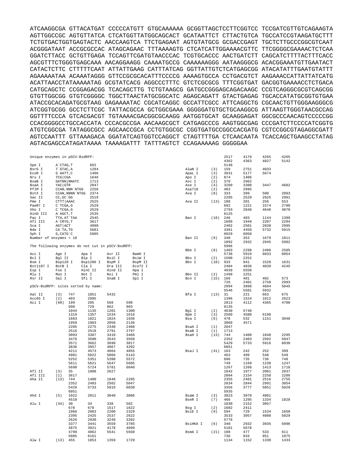ATCAAGGCGA GTTACATGAT CCCCCATGTT GTGCAAAAAA GCGGTTAGCTCCTTCGGTCC TCCGATCGTTGTCAGAAGTA AGTTGGCCGC AGTGTTATCA CTCATGGTTATGGCAGCACT GCATAATTCT CTTACTGTCA TGCCATCCGTAAGATGCTTT TCTGTGACTGGTGAGTACTC AACCAAGTCA TTCTGAGAAT AGTGTATGCG GCGACCGAGT TGCTCTTGCCCGGCGTCAAT ACGGGATAAT ACCGCGCCAC ATAGCAGAAC TTTAAAAGTG CTCATCATTGGAAAACGTTC TTCGGGGCGAAAACTCTCAA GGATCTTACC GCTGTTGAGA TCCAGTTCGATGTAACCCAC TCGTGCACCC AACTGATCTT CAGCATCTTTTACTTTCACC AGCGTTTCTGGGTGAGCAAA AACAGGAAGG CAAAATGCCG CAAAAAAGGG AATAAGGGCG ACACGGAAATGTTGAATACT CATACTCTTC CTTTTTCAAT ATTATTGAAG CATTTATCAG GGTTATTGTCTCATGAGCGG ATACATATTTGAATGTATTT AGAAAAATAA ACAAATAGGG GTTCCGCGCACATTTCCCCG AAAAGTGCCA CCTGACGTCT AAGAAACCATTATTATCATG ACATTAACCTATAAAAATAG GCGTATCACG AGGCCCTTTC GTCTCGCGCG TTTCGGTGAT GACGGTGAAAACCTCTGACA CATGCAGCTC CCGGAGACGG TCACAGCTTG TCTGTAAGCG GATGCCGGGAGCAGACAAGC CCGTCAGGGCGCGTCAGCGG GTGTTGGCGG GTGTCGGGGC TGGCTTAACTATGCGGCATC AGAGCAGATT GTACTGAGAG TGCACCATATGCGGTGTGAA ATACCGCACAGATGCGTAAG GAGAAAATAC CGCATCAGGC GCCATTCGCC ATTCAGGCTG CGCAACTGTTGGGAAGGGCG ATCGGTGCGG GCCTCTTCGC TATTACGCCA GCTGGCGAAA GGGGGATGTGCTGCAAGGCG ATTAAGTTGGGTAACGCCAG GGTTTTCCCA GTCACGACGT TGTAAAACGACGGCGCAAGG AATGGTGCAT GCAAGGAGAT GGCGCCCAACAGTCCCCCGG CCACGGGGCCTGCCACCATA CCCACGCCGA AACAAGCGCT CATGAGCCCG AAGTGGCGAG CCCGATCTTCCCCATCGGTG ATGTCGGCGA TATAGGCGCC AGCAACCGCA CCTGTGGCGC CGGTGATGCCGGCCACGATG CGTCCGGCGTAGAGGCGATT AGTCCAATTT GTTAAAGACA GGATATCAGTGGTCCAGGCT CTAGTTTTGA CTCAACAATA TCACCAGCTGAAGCCTATAG AGTACGAGCCATAGATAAAA TAAAAGATTT TATTTAGTCT CCAGAAAAAG GGGGGAA

| Unique enzymes in pSCV-BsdRFP:     |                       |                  |                                                  |         |         |          |      | 2517 | 4179 | 4265 | 4265 |
|------------------------------------|-----------------------|------------------|--------------------------------------------------|---------|---------|----------|------|------|------|------|------|
|                                    |                       |                  |                                                  |         |         |          |      | 4362 | 4363 | 4827 | 5142 |
| Spe I                              | A`CTAG, T             |                  | 662                                              |         |         |          |      | 5148 |      |      |      |
|                                    |                       |                  |                                                  |         |         |          |      |      |      |      |      |
| BsrG I                             | T`GTAC, A             |                  | 1284                                             |         |         | AlwN I   | (3)  | 159  | 2751 | 4033 |      |
| EcoR I                             | G`AATT, C             |                  | 1406                                             |         |         | ApaL I   | (3)  | 3931 | 5177 | 5674 |      |
| Nru I                              | TCG CGA               |                  | 1646                                             |         |         | Apo I    | (2)  | 874  | 1406 |      |      |
| BsaB I                             |                       | GATNN NNATC      | 1713                                             |         |         | Asc I    | (2)  | 370  | 2962 |      |      |
|                                    |                       |                  | 2047                                             |         |         |          |      | 3260 |      |      | 4682 |
| BsaA I                             | YAC GTR               |                  |                                                  |         |         | Ase I    | (4)  |      | 3388 | 3447 |      |
| PflM I                             |                       | CCAN, NNN `NTGG  | 2256                                             |         |         | Asp718   | (2)  | 403  | 2995 |      |      |
| BstX I                             |                       | CCAN, NNNN `NTGG | 2374                                             |         |         | Ava I    | (8)  | 333  | 399  | 500  | 2093 |
| Sac II                             | CC, GC 'GG            |                  | 2519                                             |         |         |          |      | 2285 | 2529 | 2925 | 2991 |
|                                    |                       |                  |                                                  |         |         |          |      |      |      |      |      |
| Pme I                              | CTTT   AAAC           |                  | 2525                                             |         |         | Ava II   | (13) | 188  | 201  | 256  | 553  |
| PaeR7 I                            | C`TCGA, G             |                  | 2529                                             |         |         |          |      | 692  | 1221 | 1574 | 2780 |
| Xho I                              | $C^{\dagger}TCGA$ , G |                  | 2529                                             |         |         |          |      | 2793 | 2848 | 4648 | 4870 |
|                                    |                       |                  |                                                  |         |         |          |      |      |      |      |      |
| HinD III                           | A`AGCT, T             |                  | 2535                                             |         |         |          |      | 6125 |      |      |      |
| Pac I                              |                       | TTA, AT`TAA      | 2545                                             |         |         | Ban I    | (18) | 246  | 403  | 1144 | 1399 |
| Afl III                            | A`CRYG, T             |                  | 3617                                             |         |         |          |      | 1689 | 1949 | 2207 | 2294 |
| Sca I                              | AGT   ACT             |                  | 4990                                             |         |         |          |      | 2402 | 2501 | 2838 | 2995 |
|                                    |                       |                  |                                                  |         |         |          |      |      |      |      |      |
| Nde I                              | CA`TA, TG             |                  | 5681                                             |         |         |          |      | 3361 | 4458 | 5732 | 5915 |
| Sph I                              | G, CATG`C             |                  | 5905                                             |         |         |          |      | 6029 | 6050 |      |      |
| Number of enzymes = 18             |                       |                  |                                                  |         |         | Ban II   | (9)  | 340  | 353  | 1679 | 1811 |
|                                    |                       |                  |                                                  |         |         |          |      |      |      |      |      |
|                                    |                       |                  |                                                  |         |         |          |      | 1892 | 2932 | 2945 | 5982 |
|                                    |                       |                  | The following enzymes do not cut in pSCV-BsdRFP: |         |         |          |      | 5996 |      |      |      |
|                                    |                       |                  |                                                  |         |         | Bbe I    | (8)  | 1403 | 2298 | 2406 | 2505 |
| Acc I                              | Age I                 |                  | Apa I                                            | Avr II  | BamH I  |          |      | 5736 | 5919 | 6033 | 6054 |
|                                    |                       |                  |                                                  |         |         |          |      |      |      |      |      |
| Bcl I                              | Bgl II                |                  | Blp I                                            | BsiC I  | BsiW I  | Bbs I    | (2)  | 1500 | 2252 |      |      |
| Bsm I                              | Bsp120 I              |                  | Bsp1286 I                                        | BspM I  | BspM II | Bbv I    | (10) | 933  | 941  | 1526 | 1631 |
| Bst1107 I                          | BstB I                |                  | Cla I                                            | Dra III | Eco72 I |          |      | 2404 | 4036 | 4039 | 4245 |
|                                    |                       |                  |                                                  |         |         |          |      |      |      |      |      |
| Esp I                              | Fse I                 |                  | HinC II                                          | Hind II | Hpa I   |          |      | 4939 | 5550 |      |      |
| Mlu I                              | Mun I                 |                  | Not I                                            | Nsi I   | Pml I   | Bbv II   | (2)  | 1499 | 2251 |      |      |
| Rsr II                             | Sal I                 |                  | Sfi I                                            | SnaB I  | Spl I   | Bcn I    | (15) | 166  | 401  | 402  | 573  |
|                                    |                       |                  |                                                  |         |         |          |      | 726  | 2401 | 2758 | 2993 |
|                                    |                       |                  |                                                  |         |         |          |      |      |      |      |      |
| pSCV-BsdRFP: sites sorted by name: |                       |                  |                                                  |         |         |          |      | 2994 | 3998 | 4694 | 5045 |
|                                    |                       |                  |                                                  |         |         |          |      | 5546 | 5581 | 5932 |      |
| Aat II                             | (3)                   | 747              | 1851                                             | 5432    |         | Bfa I    | (13) | 31   | 221  | 663  | 675  |
|                                    |                       |                  |                                                  |         |         |          |      |      |      |      |      |
| Acc65 I                            | (2)                   | 403              | 2995                                             |         |         |          |      | 1396 | 1524 | 1812 | 2623 |
| Aci I                              | (68)                  | 199              | 205                                              | 568     | 590     |          |      | 2813 | 4112 | 4365 | 4700 |
|                                    |                       | 690              | 729                                              | 862     | 903     |          |      | 6135 |      |      |      |
|                                    |                       | 1044             |                                                  |         | 1300    |          |      |      | 5748 |      |      |
|                                    |                       |                  | 1135                                             | 1201    |         | Bgl I    | (2)  | 4630 |      |      |      |
|                                    |                       | 1319             | 1357                                             | 1534    | 1616    | Bpm I    | (3)  | 2560 | 4580 | 6198 |      |
|                                    |                       | 1683             | 1821                                             | 1824    | 1936    | Bsa I    | (6)  | 478  | 532  | 1151 | 3048 |
|                                    |                       | 1959             | 1983                                             | 2058    | 2136    |          |      | 3069 | 4571 |      |      |
|                                    |                       |                  |                                                  |         |         |          |      |      |      |      |      |
|                                    |                       | 2205             | 2275                                             | 2340    | 2488    | BsaA I   | (1)  | 2047 |      |      |      |
|                                    |                       | 2516             | 2518                                             | 2791    | 2797    | BsaB I   | (1)  | 1713 |      |      |      |
|                                    |                       | 3093             | 3307                                             | 3410    | 3466    | BsaH I   | (13) | 744  | 1400 | 1848 | 2295 |
|                                    |                       |                  |                                                  |         |         |          |      |      |      |      |      |
|                                    |                       | 3476             | 3500                                             | 3543    | 3550    |          |      | 2352 | 2403 | 2502 | 5047 |
|                                    |                       | 3571             | 3662                                             | 3690    | 3817    |          |      | 5429 | 5733 | 5916 | 6030 |
|                                    |                       | 3836             | 3957                                             | 4067    | 4202    |          |      | 6051 |      |      |      |
|                                    |                       |                  |                                                  |         | 4855    |          |      |      |      | 252  | 399  |
|                                    |                       | 4211             | 4573                                             | 4664    |         | BsaJ I   | (41) | 163  | 242  |      |      |
|                                    |                       | 4901             | 5022                                             | 5066    | 5143    |          |      | 463  | 499  | 548  | 549  |
|                                    |                       | 5252             | 5351                                             | 5398    | 5572    |          |      | 696  | 735  | 736  | 748  |
|                                    |                       | 5611             | 5621                                             | 5647    | 5685    |          |      | 749  | 1169 | 1238 | 1247 |
|                                    |                       |                  |                                                  |         |         |          |      |      |      |      |      |
|                                    |                       | 5698             | 5724                                             | 5781    | 6040    |          |      | 1267 | 1268 | 1413 | 1718 |
| Afl II                             | (3)                   | 35               | 1008                                             | 2627    |         |          |      | 1842 | 1977 | 2001 | 2037 |
| Afl III                            | (1)                   | 3617             |                                                  |         |         |          |      | 2094 | 2154 | 2250 | 2286 |
| Aha II                             | (13)                  | 744              | 1400                                             | 1848    | 2295    |          |      | 2355 | 2481 | 2516 | 2755 |
|                                    |                       |                  |                                                  |         |         |          |      |      |      |      |      |
|                                    |                       | 2352             | 2403                                             | 2502    | 5047    |          |      | 2834 | 2844 | 2991 | 3054 |
|                                    |                       | 5429             | 5733                                             | 5916    | 6030    |          |      | 3356 | 3777 | 5851 | 5929 |
|                                    |                       | 6051             |                                                  |         |         |          |      | 5935 |      |      |      |
|                                    |                       |                  |                                                  |         |         |          |      |      |      |      |      |
| Ahd I                              | (5)                   | 1022             | 2011                                             | 3040    | 3086    | BsaW I   | (3)  | 3823 | 3970 | 4801 |      |
|                                    |                       | 4510             |                                                  |         |         | BseR I   | (7)  | 466  | 1295 | 1334 | 1828 |
| Alu I                              | (34)                  | 30               | 34                                               | 338     | 582     |          |      | 1830 | 2152 | 3057 |      |
|                                    |                       |                  |                                                  |         |         |          |      |      |      |      |      |
|                                    |                       | 670              | 678                                              | 1517    | 1622    | Bsg I    | (2)  | 1602 | 2411 |      |      |
|                                    |                       | 1966             | 2083                                             | 2200    | 2329    | BsiE I   | (9)  | 594  | 729  | 1534 | 1650 |
|                                    |                       | 2395             | 2425                                             | 2537    | 2622    |          |      | 3533 | 3957 | 4880 | 5029 |
|                                    |                       |                  |                                                  |         |         |          |      |      |      |      |      |
|                                    |                       | 2626             | 2930                                             | 3249    | 3282    |          |      | 5776 |      |      |      |
|                                    |                       | 3377             | 3441                                             | 3559    | 3785    | BsiHKA I | (6)  | 340  | 2932 | 3935 | 5096 |
|                                    |                       | 3875             | 3921                                             | 4178    | 4699    |          |      | 5181 | 5678 |      |      |
|                                    |                       |                  |                                                  |         |         |          |      |      |      |      |      |
|                                    |                       | 4799             | 4862                                             | 5541    | 5560    | BsmA I   | (21) | 108  | 477  | 533  | 611  |
|                                    |                       | 5805             | 6161                                             |         |         |          |      | 736  | 834  | 951  | 1075 |
| Alw I                              | (13)                  | 455              | 1053                                             | 1359    | 1729    |          |      | 1134 | 1152 | 1330 | 1433 |
|                                    |                       |                  |                                                  |         |         |          |      |      |      |      |      |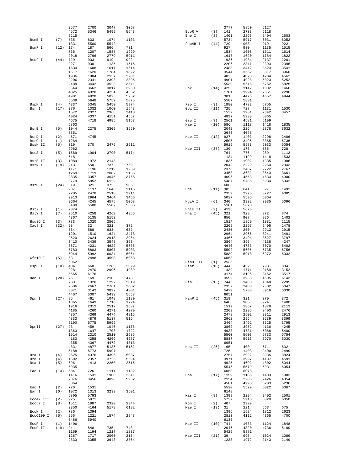|                   |                   | 2577         | 2700         | 3047         | 3068         |          |            | 3777         | 5850         | 6127         |              |
|-------------------|-------------------|--------------|--------------|--------------|--------------|----------|------------|--------------|--------------|--------------|--------------|
|                   |                   | 4572         | 5346         | 5499         | 5543         | ECOR V   | (3)        | 141          | 2733         | 6118         |              |
|                   |                   | 6215         |              |              |              | Ehe I    | (8)        | 1401         | 2296         | 2404         | 2503         |
| BsmB I            | (7)               | 735<br>1331  | 833<br>5500  | 1074<br>5542 | 1133         | Fnu4H I  | (44)       | 5734<br>729  | 5917<br>903  | 6031<br>919  | 6052<br>922  |
| BsmF I            | (12)              | 174          | 187          | 566          | 731          |          |            | 927          | 930          | 1135         | 1515         |
|                   |                   | 766          | 1207         | 1587         | 1999         |          |            | 1534         | 1608         | 1611         | 1614         |
|                   |                   | 2018         | 2766         | 2779         | 5911         |          |            | 1617         | 1620         | 1784         | 1822         |
| BsoF I            | (44)              | 729          | 903          | 919          | 922          |          |            | 1936         | 1984         | 2137         | 2201         |
|                   |                   | 927          | 930          | 1135         | 1515         |          |            | 2206         | 2341         | 2393         | 2396         |
|                   |                   | 1534         | 1608         | 1611         | 1614         |          |            | 2488         | 3442         | 3523         | 3541         |
|                   |                   | 1617         | 1620         | 1784         | 1822         |          |            | 3544         | 3662         | 3817         | 3960         |
|                   |                   | 1936         | 1984         | 2137         | 2201         |          |            | 4025         | 4028         | 4234         | 4562         |
|                   |                   | 2206         | 2341         | 2393         | 2396         |          |            | 4901         | 4928         | 5023         | 5252         |
|                   |                   | 2488         | 3442         | 3523         | 3541         |          |            | 5539         | 5648         | 5752         | 5825         |
|                   |                   | 3544         | 3662         | 3817         | 3960         | Fok I    | (14)       | 425          | 1142         | 1302         | 1466         |
|                   |                   | 4025<br>4901 | 4028<br>4928 | 4234<br>5023 | 4562<br>5252 |          |            | 1701<br>3016 | 1994<br>4476 | 2051<br>4657 | 2290<br>4944 |
|                   |                   | 5539         | 5648         | 5752         | 5825         |          |            | 5587         | 5831         |              |              |
| BspH I            | (4)               | 4337         | 5345         | 5450         | 5974         | Fsp I    | (3)        | 1880         | 4732         | 5755         |              |
| Bsr I             | (17)              | 376          | 1032         | 1060         | 1548         | Gdi II   | (11)       | 725          | 727          | 1131         | 1530         |
|                   |                   | 1572         | 2027         | 2968         | 3418         |          |            | 1532         | 1901         | 2342         | 3457         |
|                   |                   | 4024         | 4037         | 4151         | 4557         |          |            | 4897         | 5933         | 6065         |              |
|                   |                   | 4675         | 4718         | 4985         | 5157         | Gsu I    | (3)        | 2561         | 4581         | 6199         |              |
|                   |                   | 5863         |              |              |              | Hae I    | (10)       | 586          | 1113         | 1418         | 1835         |
| BsrB I            | (5)               | 1044         | 2275         | 3309         | 3550         |          |            | 2042         | 2264         | 2378         | 3632         |
|                   |                   | 5351         |              |              |              |          |            | 3643         | 4095         |              |              |
| BsrD I            | (2)               | 4571         | 4745         |              |              | Hae II   | (12)       | 927          | 1403         | 2298         | 2406         |
| BsrG I            | (1)               | 1284         |              |              |              |          |            | 2505         | 3495         | 3865         | 5736         |
| BssH II           | (5)               | 319          | 370          | 2476         | 2911         |          |            | 5919         | 5973         | 6033         | 6054         |
|                   |                   | 2962         |              |              |              | Hae III  | $(37)$ 130 |              | 175          | 586          | 728          |
| BssS I            | (5)               | 1589<br>5481 | 1904         | 3790         | 5174         |          |            | 764<br>1134  | 776<br>1199  | 989<br>1418  | 1113<br>1533 |
|                   |                   | 1089         | 1972         | 2143         |              |          |            | 1835         | 1902         | 1935         | 1986         |
| BstE II<br>BstN I | (3)<br>(19)       | 243          | 550          | 737          | 750          |          |            | 2042         | 2229         | 2264         | 2343         |
|                   |                   | 1171         | 1196         | 1219         | 1239         |          |            | 2378         | 2487         | 2722         | 2767         |
|                   |                   | 1269         | 1719         | 2002         | 2156         |          |            | 3458         | 3632         | 3643         | 3661         |
|                   |                   | 2835         | 3357         | 3645         | 3766         |          |            | 4095         | 4553         | 4633         | 4900         |
|                   |                   | 3779         | 5852         | 6129         |              |          |            | 5487         | 5785         | 5934         | 5942         |
| BstU I            | (24)              | 319          | 321          | 372          | 905          |          |            | 6066         |              |              |              |
|                   |                   | 907          | 1137         | 1646         | 2115         | Hga I    | (11)       | 383          | 644          | 897          | 1493         |
|                   |                   | 2205         | 2478         | 2518         | 2911         |          |            | 2359         | 2975         | 3727         | 4305         |
|                   |                   | 2913         | 2964         | 3464         | 3466         |          |            | 5037         | 5595         | 6064         |              |
|                   |                   | 3664         | 4245         | 4575         | 5068         | HgiA I   | (6)        | 340          | 2932         | 3935         | 5096         |
|                   |                   | 5400         | 5500         | 5502         | 5605         |          |            | 5181         | 5678         |              |              |
| BstX I            | (1)               | 2374         |              |              |              | HgiE II  | (2)        | 4196         | 5676         |              |              |
| BstY I            | (7)               | 2510         | 4258         | 4269         | 4355         | Hha I    | (45)       | 321          | 323          | 372          | 374          |
|                   |                   | 4367         | 5135         | 5152         |              |          |            | 650          | 907          | 926          | 1402         |
| Bsu36 I           | (3)               | 783          | 1020         | 2506         |              |          |            | 1514         | 1869         | 1881         | 2115         |
| Cac8 I            | (32)              | 28           | 32           | 321          | 372          |          |            | 2205         | 2297         | 2405         | 2478         |
|                   |                   | 584<br>1201  | 588<br>1510  | 633<br>1624  | 652<br>2478  |          |            | 2480<br>2964 | 2504<br>2966 | 2913<br>3241 | 2915<br>3401 |
|                   |                   | 2620         | 2624         | 2913         | 2964         |          |            | 3466         | 3494         | 3527         | 3797         |
|                   |                   | 3410         | 3439         | 3548         | 3634         |          |            | 3864         | 3964         | 4138         | 4247         |
|                   |                   | 3671         | 4231         | 4622         | 5635         |          |            | 4640         | 4733         | 5070         | 5402         |
|                   |                   | 5783         | 5803         | 5807         | 5903         |          |            | 5502         | 5605         | 5735         | 5756         |
|                   |                   | 5944         | 5992         | 6034         | 6064         |          |            | 5889         | 5918         | 5972         | 6032         |
| Cfr10 I           | (5)               | 631          | 2498         | 4590         | 6053         |          |            | 6053         |              |              |              |
|                   |                   | 6062         |              |              |              | HinD III | (1)        | 2535         |              |              |              |
| Csp6 I            | (10)              | 404          | 660          | 1285         | 2029         | Hinf I   | (16)       | 444          | 452          | 793          | 804          |
|                   |                   | 2281         | 2470         | 2996         | 4989         |          |            | 1439         | 1771         | 2159         | 3152         |
|                   |                   | 5665         | 6176         |              |              |          |            | 3174         | 3195         | 3452         | 3517         |
| Dde I             | (20)              | 75           | 169          | 210          | 478          |          |            | 3592         | 3988         | 4505         | 6143         |
|                   |                   | 783          | 1020         | 1292         | 2019         | HinI I   | (13)       | 744          | 1400         | 1848         | 2295         |
|                   |                   | 2506         | 2667         | 2761         | 2802         |          |            | 2352         | 2403         | 2502         | 5047         |
|                   |                   | 3071         | 3142         | 3892         | 4301         |          |            | 5429         | 5733         | 5916         | 6030         |
|                   |                   | 4467         | 5007         | 5433         | 5668         | HinP I   | (45) 319   | 6051         | 321          | 370          | 372          |
| Dpn I             | $(27)$ 95         | 1365         | 461<br>1649  | 1048<br>1710 | 1180<br>1724 |          |            |              |              |              | 1400         |
|                   |                   | 1916         |              |              |              |          |            |              |              |              |              |
|                   |                   |              |              |              |              |          |            | 648          | 905          | 924          |              |
|                   |                   |              | 2312         | 2512         | 2687         |          |            | 1512         | 1867         | 1879         | 2113         |
|                   |                   | 4185<br>4357 | 4260<br>4369 | 4271<br>4474 | 4279<br>4815 |          |            | 2203<br>2478 | 2295<br>2502 | 2403<br>2911 | 2476<br>2913 |
|                   |                   | 4833         | 4879         | 5137         | 5154         |          |            | 2962         | 2964         | 3239         | 3399         |
|                   |                   | 5190         | 5775         | 5999         |              |          |            | 3464         | 3492         | 3525         | 3795         |
| DpnII             | (27)              | 93           | 459          | 1046         | 1178         |          |            | 3862         | 3962         | 4136         | 4245         |
|                   |                   | 1363         | 1647         | 1708         | 1722         |          |            | 4638         | 4731         | 5068         | 5400         |
|                   |                   | 1914         | 2310         | 2510         | 2685         |          |            | 5500         | 5603         | 5733         | 5754         |
|                   |                   | 4183         | 4258         | 4269         | 4277         |          |            | 5887         | 5916         | 5970         | 6030         |
|                   |                   | 4355         | 4367         | 4472         | 4813         |          |            | 6051         |              |              |              |
|                   |                   | 4831         | 4877         | 5135         | 5152         | Hpa II   | (26)       | 165          | 400          | 571          | 632          |
|                   |                   | 5188         | 5773         | 5997         |              |          |            | 725          | 1403         | 2400         | 2499         |
| Dra I             | (4)               | 2525         | 4376         | 4395         | 5087         |          |            | 2757         | 2992         | 3335         | 3824         |
| Drd I<br>Dsa I    | (4)<br>(5)        | 1502<br>696  | 2357<br>1413 | 3725<br>2250 | 5594<br>2516 |          |            | 3971<br>4625 | 3997<br>4692 | 4187<br>4802 | 4591<br>5044 |
|                   |                   | 5935         |              |              |              |          |            | 5545         | 5579         | 5931         | 6054         |
| Eae I             | (13)              | 584          | 726          | 1111         | 1132         |          |            | 6063         | 6078         |              |              |
|                   |                   | 1416         | 1531         | 1900         | 2341         | Hph I    |            | $(17)$ 1159  | 1185         | 1403         | 1983         |
|                   |                   | 2376         | 3456         | 4898         | 5932         |          |            | 2154         | 2205         | 2426         | 4354         |
|                   |                   | 6064         |              |              |              |          |            | 4581         | 4995         | 5203         | 5236         |
| Eag I             | (2)               | 726          | 1531         |              |              |          |            | 5520         | 5529         | 6022         | 6067         |
| Ear I             | (6)               | 1072         | 1313         | 3239         | 3501         |          |            | 6148         |              |              |              |
|                   |                   | 5305         | 5793         |              |              | Kas I    | (8)        | 1399         | 2294         | 2402         | 2501         |
| Eco47 III         | (2)               | 925          | 5971         |              |              |          |            | 5732         | 5915         | 6029         | 6050         |
| Eco57 I           | (8)               | 1511         | 1987         | 2320         | 2344         | Kpn I    | (2)        | 407          | 2999         |              |              |
|                   |                   | 2350         | 4164         | 5178         | 6182         | Mae I    | (13)       | 31           | 221          | 663          | 675          |
| ECON I            | (2)               | 786          | 1394         |              |              |          |            | 1396         | 1524         | 1812         | 2623         |
| Eco0109 I         | (6)               | 256          | 1221         | 1574         | 2848         |          |            | 2813         | 4112         | 4365         | 4700         |
|                   |                   | 5486         | 5940         |              |              |          |            | 6135         |              |              |              |
| ECOR I<br>ECOR II | (1)<br>$(19)$ 241 | 1406         | 548          | 735          | 748          | Mae II   | $(10)$ 744 | 2046         | 1083<br>4320 | 1124<br>4736 | 1848<br>5109 |
|                   |                   | 1169         | 1194         | 1217         | 1237         |          |            | 5429         | 5871         |              |              |
|                   |                   | 1267         | 1717         | 2000         | 2154         | Mae III  | (21)       | 39           | 996          | 1024         | 1089         |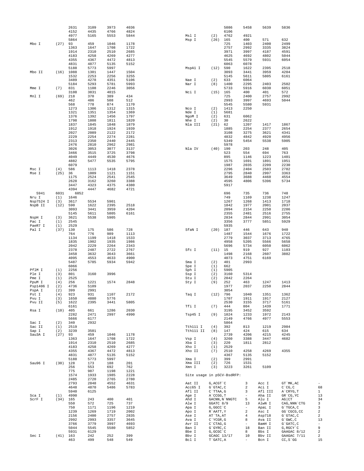|                     |            | 2631         | 3109         | 3973         | 4036         |                            |                          | 5086           | 5458                           | 5639              | 5836                      |                          |
|---------------------|------------|--------------|--------------|--------------|--------------|----------------------------|--------------------------|----------------|--------------------------------|-------------------|---------------------------|--------------------------|
|                     |            | 4152         | 4435         | 4766         | 4824         |                            |                          | 6106           |                                |                   |                           |                          |
|                     |            | 4977<br>5864 | 5165         | 5553         | 5844         | Msl I<br>Msp I             | (2)<br>(26)              | 4762<br>165    | 4921<br>400                    | 571               | 632                       |                          |
| Mbo I               | (27)       | 93           | 459          | 1046         | 1178         |                            |                          | 725            | 1403                           | 2400              | 2499                      |                          |
|                     |            | 1363         | 1647         | 1708         | 1722         |                            |                          | 2757           | 2992                           | 3335              | 3824                      |                          |
|                     |            | 1914         | 2310         | 2510         | 2685         |                            |                          | 3971           | 3997                           | 4187              | 4591                      |                          |
|                     |            | 4183         | 4258         | 4269         | 4277         |                            |                          | 4625           | 4692                           | 4802              | 5044                      |                          |
|                     |            | 4355         | 4367         | 4472         | 4813         |                            |                          | 5545           | 5579                           | 5931              | 6054                      |                          |
|                     |            | 4831         | 4877         | 5135         | 5152         |                            |                          | 6063           | 6078                           |                   |                           |                          |
| Mbo II              | (16)       | 5188<br>1088 | 5773<br>1301 | 5997<br>1447 | 1504         | MspAl I                    | (12)                     | 590<br>3093    | 1622<br>3441                   | 2395<br>3959      | 2518<br>4204              |                          |
|                     |            | 1532         | 2253         | 2256         | 3255         |                            |                          | 5145           | 5611                           | 5805              | 6161                      |                          |
|                     |            | 3489         | 4278         | 4351         | 5106         | Nae I                      | (2)                      | 633            | 6064                           |                   |                           |                          |
|                     |            | 5184         | 5293         | 5781         | 5993         | Nar I                      | (8)                      | 1400           | 2295                           | 2403              | 2502                      |                          |
| Mme I               | (7)        | 831          | 1108         | 2246         | 3056         |                            |                          | 5733           | 5916                           | 6030              | 6051                      |                          |
|                     |            | 3108         | 3831         | 4015         |              | Nci I                      | (15)                     | 165            | 400                            | 401               | 572                       |                          |
| Mnl I               | (69)       | 218          | 370          | 389          | 434          |                            |                          | 725            | 2400                           | 2757              | 2992                      |                          |
|                     |            | 462          | 486          | 508          | 512          |                            |                          | 2993           | 3997                           | 4693              | 5044                      |                          |
|                     |            | 568<br>1273  | 778<br>1306  | 874<br>1312  | 1170<br>1315 | Nco I                      | (2)                      | 5545<br>1413   | 5580<br>2250                   | 5931              |                           |                          |
|                     |            | 1321         | 1351         | 1354         | 1369         | Nde I                      | (1)                      | 5681           |                                |                   |                           |                          |
|                     |            | 1376         | 1392         | 1456         | 1797         | NgoM I                     | (2)                      | 631            | 6062                           |                   |                           |                          |
|                     |            | 1798         | 1808         | 1811         | 1820         | Nhe I                      | (2)                      | 30             | 2622                           |                   |                           |                          |
|                     |            | 1837         | 1845         | 1848         | 1879         | Nla III                    | (21)                     | 62             | 1207                           | 1417              | 1867                      |                          |
|                     |            | 1912         | 1918         | 1924         | 1939         |                            |                          | 1885           | 2254                           | 2377              | 2654                      |                          |
|                     |            | 2027         | 2089         | 2122         | 2172         |                            |                          | 3108           | 3275                           | 3621              | 4341                      |                          |
|                     |            | 2229         | 2254         | 2274         | 2281         |                            |                          | 4832           | 4842                           | 4920              | 4956                      |                          |
|                     |            | 2313<br>2476 | 2350         | 2440         | 2445         |                            |                          | 5349           | 5454                           | 5538              | 5905                      |                          |
|                     |            | 3026         | 2810<br>3053 | 2962<br>3077 | 2981<br>3137 | Nla IV                     | (40)                     | 5978<br>190    | 203                            | 248               | 405                       |                          |
|                     |            | 3466         | 3515         | 3725         | 3798         |                            |                          | 523            | 554                            | 694               | 763                       |                          |
|                     |            | 4049         | 4449         | 4530         | 4676         |                            |                          | 895            | 1146                           | 1223              | 1401                      |                          |
|                     |            | 4882         | 5477         | 5535         | 5795         |                            |                          | 1575           | 1691                           | 1891              | 1951                      |                          |
|                     |            | 6079         |              |              |              |                            |                          | 1987           | 2035                           | 2209              | 2230                      |                          |
| Msc I               | (4)        | 586          | 1113         | 1418         | 2378         |                            |                          | 2296           | 2404                           | 2503              | 2782                      |                          |
| Mse I               | (25)       | 36           | 1009         | 1121         | 1151         |                            |                          | 2795           | 2840                           | 2997              | 3363                      |                          |
|                     |            | 1175         | 2524         | 2541         | 2545         |                            |                          | 3649           | 3688                           | 4460              | 4554                      |                          |
|                     |            | 2628<br>3447 | 3162         | 3260<br>4375 | 3388<br>4380 |                            |                          | 4595           | 4806                           | 5396              | 5734                      |                          |
|                     |            | 4394         | 4323<br>4447 | 4682         | 4721         |                            |                          | 5917           |                                |                   |                           |                          |
| 5941                | 6031       | 6052         |              |              |              |                            |                          | 696            | 735                            | 736               | 748                       |                          |
| Nru I               | (1)        | 1646         |              |              |              |                            |                          | 749            | 1169                           | 1238              | 1247                      |                          |
| Nsp7524 I           | (3)        | 3617         | 5534         | 5901         |              |                            |                          | 1267           | 1268                           | 1413              | 1718                      |                          |
| NspB II             | (12)       | 590          | 1622         | 2395         | 2518         |                            |                          | 1842           | 1977                           | 2001              | 2037                      |                          |
|                     |            | 3093         | 3441         | 3959         | 4204         |                            |                          | 2094           | 2154                           | 2250              | 2286                      |                          |
|                     |            | 5145         | 5611         | 5805         | 6161         |                            |                          | 2355           | 2481                           | 2516              | 2755                      |                          |
| NspH I<br>Pac I     | (3)<br>(1) | 3621<br>2545 | 5538         | 5905         |              |                            |                          | 2834<br>3356   | 2844<br>3777                   | 2991<br>5851      | 3054<br>5929              |                          |
| PaeR7 I             | (1)        | 2529         |              |              |              |                            |                          | 5935           |                                |                   |                           |                          |
| Pal I               | (37)       | 130          | 175          | 586          | 728          | SfaN I                     | (20)                     | 187            | 446                            | 643               | 940                       |                          |
|                     |            | 764          | 776          | 989          | 1113         |                            |                          | 1487           | 1544                           | 1676              | 1722                      |                          |
|                     |            | 1134         | 1199         | 1418         | 1533         |                            |                          | 2779           | 3037                           | 3713              | 4765                      |                          |
|                     |            | 1835         | 1902         | 1935         | 1986         |                            |                          | 4958           | 5205                           | 5566              | 5658                      |                          |
|                     |            | 2042         | 2229         | 2264         | 2343         |                            |                          | 5696           | 5734                           | 6050              | 6062                      |                          |
|                     |            | 2378         | 2487         | 2722         | 2767         | Sfc I                      | (11)                     | 15             | 919                            | 927               | 1103                      |                          |
|                     |            | 3458<br>4095 | 3632<br>4553 | 3643<br>4633 | 3661<br>4900 |                            |                          | 1498<br>4073   | 2168<br>4751                   | 2607<br>6169      | 3882                      |                          |
|                     |            | 5487         | 5785         | 5934         | 5942         | Sma I                      | (2)                      | 401            | 2993                           |                   |                           |                          |
|                     |            | 6066         |              |              |              | Spe I                      | (1)                      | 662            |                                |                   |                           |                          |
| PflM I              | (1)        | 2256         |              |              |              | Sph I                      | (1)                      | 5905           |                                |                   |                           |                          |
| Ple I               | (3)        | 801          | 3160         | 3996         |              | Ssp I                      | (2)                      | 3160           | 5314                           |                   |                           |                          |
| Pme I               | (1)        | 2525         |              |              |              | Stu I                      | (2)                      | 2042           | 2264                           |                   |                           |                          |
| PpuM I              | (4)        | 256          | 1221         | 1574         | 2848         | Sty I                      | (9)                      | 252            | 463                            | 1247              | 1413                      |                          |
| Psp1406 I<br>PspA I | (2)<br>(2) | 4736<br>399  | 5109<br>2991 |              |              |                            |                          | 1977<br>3054   | 2037                           | 2250              | 2844                      |                          |
| Pst I               | (4)        | 923          | 931          | 1107         | 2172         | Taq I                      | (12)                     | 796            | 1040                           | 1351              | 1362                      |                          |
| Pvu I               | (3)        | 1650         | 4880         | 5776         |              |                            |                          | 1707           | 1911                           | 1917              | 2127                      |                          |
| Pvu II              | (5)        | 1622         | 2395         | 3441         | 5805         |                            |                          | 2530           | 3155                           | 3717              | 5161                      |                          |
|                     |            | 6161         |              |              |              | Tfi I                      | (7)                      | 444            | 804                            | 1439              | 1771                      |                          |
| Rsa I               | (10)       | 405          | 661          | 1286         | 2030         |                            |                          | 3195           | 3452                           | 3592              |                           |                          |
|                     |            | 2282         | 2471         | 2997         | 4990         | Tsp45 I                    | (9)                      | 1024           | 1233                           | 1972              | 2143                      |                          |
| Sac I               | (2)        | 5666<br>340  | 6177<br>2932 |              |              |                            |                          | 2149<br>5864   | 4766                           | 4977              | 5553                      |                          |
| Sac II              | (1)        | 2519         |              |              |              | Tth111 I                   | (4)                      | 392            | 813                            | 1219              | 2984                      |                          |
| Sap I               | (2)        | 3239         | 3501         |              |              | Tth111 II                  | (8)                      | 147            | 424                            | 615               | 634                       |                          |
| Sau3A I             | $(27)$ 93  |              | 459          | 1046         | 1178         |                            |                          | 2739           | 4206                           | 4215              | 4245                      |                          |
|                     |            | 1363         | 1647         | 1708         | 1722         | Vsp I                      | (4)                      | 3260           | 3388                           | 3447              | 4682                      |                          |
|                     |            | 1914         | 2310         | 2510         | 2685         | Xba I                      | (3)                      | 220            | 1811                           | 2812              |                           |                          |
|                     |            | 4183         | 4258         | 4269         | 4277         | Xho I                      | (1)                      | 2529           |                                |                   |                           |                          |
|                     |            | 4355         | 4367         | 4472         | 4813         | Xho II                     | (7)                      | 2510           | 4258                           | 4269              | 4355                      |                          |
|                     |            | 4831<br>5188 | 4877<br>5773 | 5135<br>5997 | 5152         | Xma I                      | (2)                      | 4367<br>399    | 5135<br>2991                   | 5152              |                           |                          |
| Sau96 I             | $(30)$ 128 |              | 173          | 188          | 201          | Xma III                    | (2)                      | 726            | 1531                           |                   |                           |                          |
|                     |            | 256          | 553          | 692          | 762          | Xmn I                      | (3)                      | 3223           | 3261                           | 5109              |                           |                          |
|                     |            | 775          | 987          | 1198         | 1221         |                            |                          |                |                                |                   |                           |                          |
|                     |            | 1574         | 1933         | 1985         | 2228         | Site usage in pSCV-BsdRFP: |                          |                |                                |                   |                           |                          |
|                     |            | 2485         | 2720         | 2765         | 2780         |                            |                          |                |                                |                   |                           |                          |
|                     |            | 2793         | 2848         | 4552         | 4631         | Aat II                     | G, ACGT `C               |                | 3                              | Acc I             | GT `MK, AC                |                          |
|                     |            | 4648         | 4870         | 5486         | 5783         | Acc65 I                    | G`GTAC, C                |                | 2                              | Aci I             | $C^{\dagger}CG, C$        | 68                       |
| Sca I               | (1)        | 5940<br>4990 | 6125         |              |              | Afl II<br>Age I            | C`TTAA, G<br>A CCGG, T   |                | 3<br>$\overline{\phantom{a}}$  | Afl III<br>Aha II | A`CRYG, T<br>GR CG, YC    | $\mathbf{1}$<br>13       |
| ScrF I              | $(34)$ 165 |              | 243          | 400          | 401          | Ahd I                      |                          | GACNN, N`NNGTC | 5                              | Alu I             | $AG$ $CT$                 | 34                       |
|                     |            | 550          | 572          | 725          | 737          | Alw I                      | GGATC 8/9                |                | 13                             | AlwN I            | CAG, NNN `CTG             | 3                        |
|                     |            | 750          | 1171         | 1196         | 1219         | Apa I                      | G, GGCC `C               |                | $ \,$                          | ApaL I            | G`TGCA, C                 | 3                        |
|                     |            | 1239         | 1269         | 1719         | 2002         | Apo I                      | R`AATT, Y                |                | $\,2$                          | Asc I             | GG`CGCG, CC               | 2                        |
|                     |            | 2156         | 2400         | 2757         | 2835         | Ase I                      | AT`TA, AT                |                | 4                              | Asp718            | G`GTAC, C                 | $\overline{c}$           |
|                     |            | 2992         | 2993         | 3357         | 3645         | Ava I                      | $C^{\wedge}$ YCGR, G     |                | 8                              | Ava II            | $G$ $GWC$ , $C$           | 13                       |
|                     |            | 3766         | 3779         | 3997         | 4693         | Avr II                     | C`CTAG, G                |                | $\overline{\phantom{a}}$       | BamH I            | G`GATC, C                 | $\overline{\phantom{a}}$ |
|                     |            | 5044         | 5545         | 5580         | 5852         | Ban I                      | $G$ $GYRC$ , $C$         |                | 18                             | Ban II            | G, RGCY `C                | 9                        |
|                     |            | 5931         | 6129         |              |              | Bbe I                      | G, GCGC `C               |                | 8                              | Bbs I             | GAAGAC 8/12               | 2                        |
| Sec I               | $(41)$ 163 | 463          | 242<br>499   | 252<br>548   | 399<br>549   | Bbv I<br>Bcl I             | GCAGC 13/17<br>T`GATC, A |                | 10<br>$\overline{\phantom{a}}$ | Bbv II<br>Bcn I   | GAAGAC 7/11<br>$CC, S$ GG | 2<br>15                  |
|                     |            |              |              |              |              |                            |                          |                |                                |                   |                           |                          |